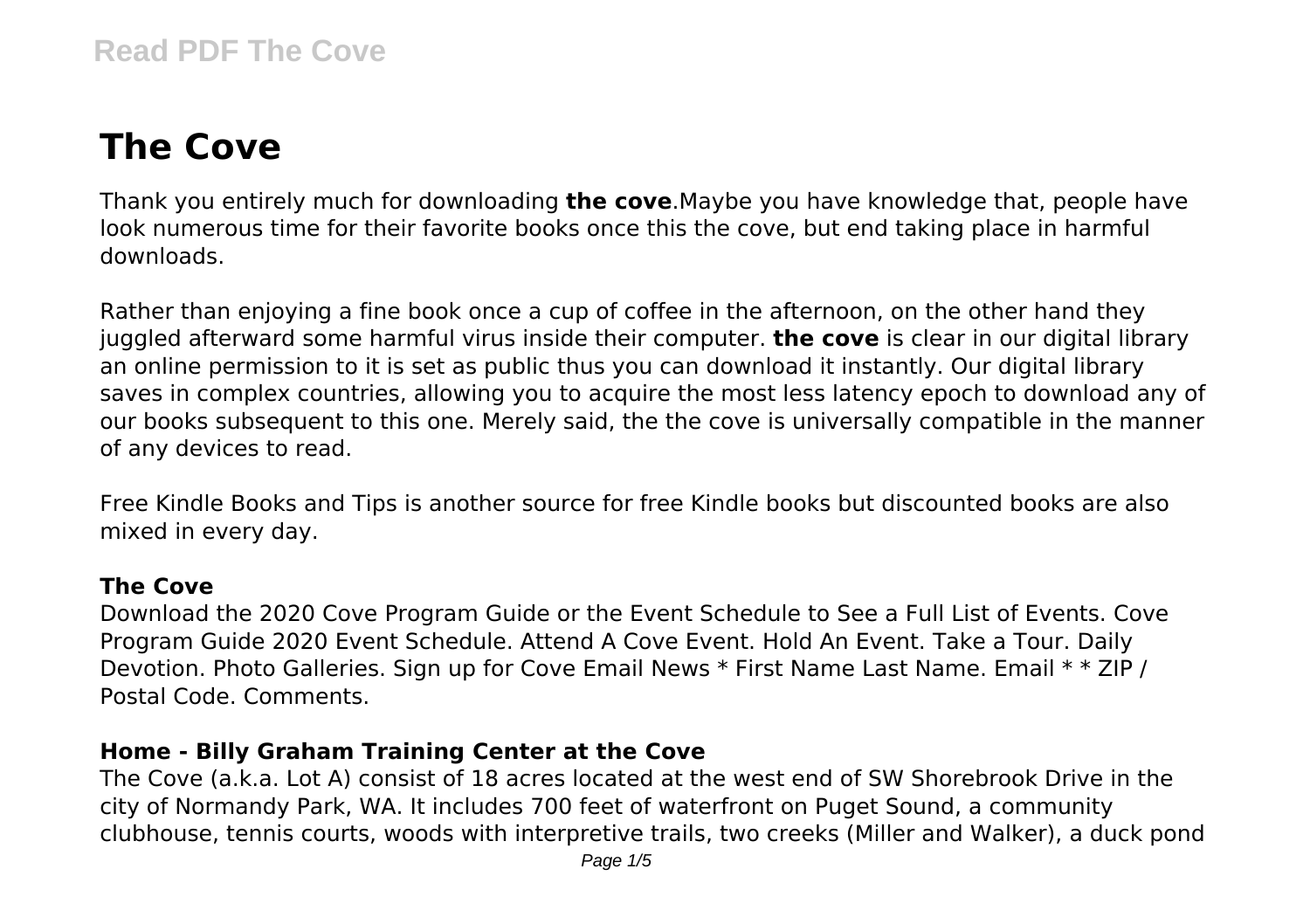# **The Cove**

Thank you entirely much for downloading **the cove**.Maybe you have knowledge that, people have look numerous time for their favorite books once this the cove, but end taking place in harmful downloads.

Rather than enjoying a fine book once a cup of coffee in the afternoon, on the other hand they juggled afterward some harmful virus inside their computer. **the cove** is clear in our digital library an online permission to it is set as public thus you can download it instantly. Our digital library saves in complex countries, allowing you to acquire the most less latency epoch to download any of our books subsequent to this one. Merely said, the the cove is universally compatible in the manner of any devices to read.

Free Kindle Books and Tips is another source for free Kindle books but discounted books are also mixed in every day.

## **The Cove**

Download the 2020 Cove Program Guide or the Event Schedule to See a Full List of Events. Cove Program Guide 2020 Event Schedule. Attend A Cove Event. Hold An Event. Take a Tour. Daily Devotion. Photo Galleries. Sign up for Cove Email News \* First Name Last Name. Email \* \* ZIP / Postal Code. Comments.

## **Home - Billy Graham Training Center at the Cove**

The Cove (a.k.a. Lot A) consist of 18 acres located at the west end of SW Shorebrook Drive in the city of Normandy Park, WA. It includes 700 feet of waterfront on Puget Sound, a community clubhouse, tennis courts, woods with interpretive trails, two creeks (Miller and Walker), a duck pond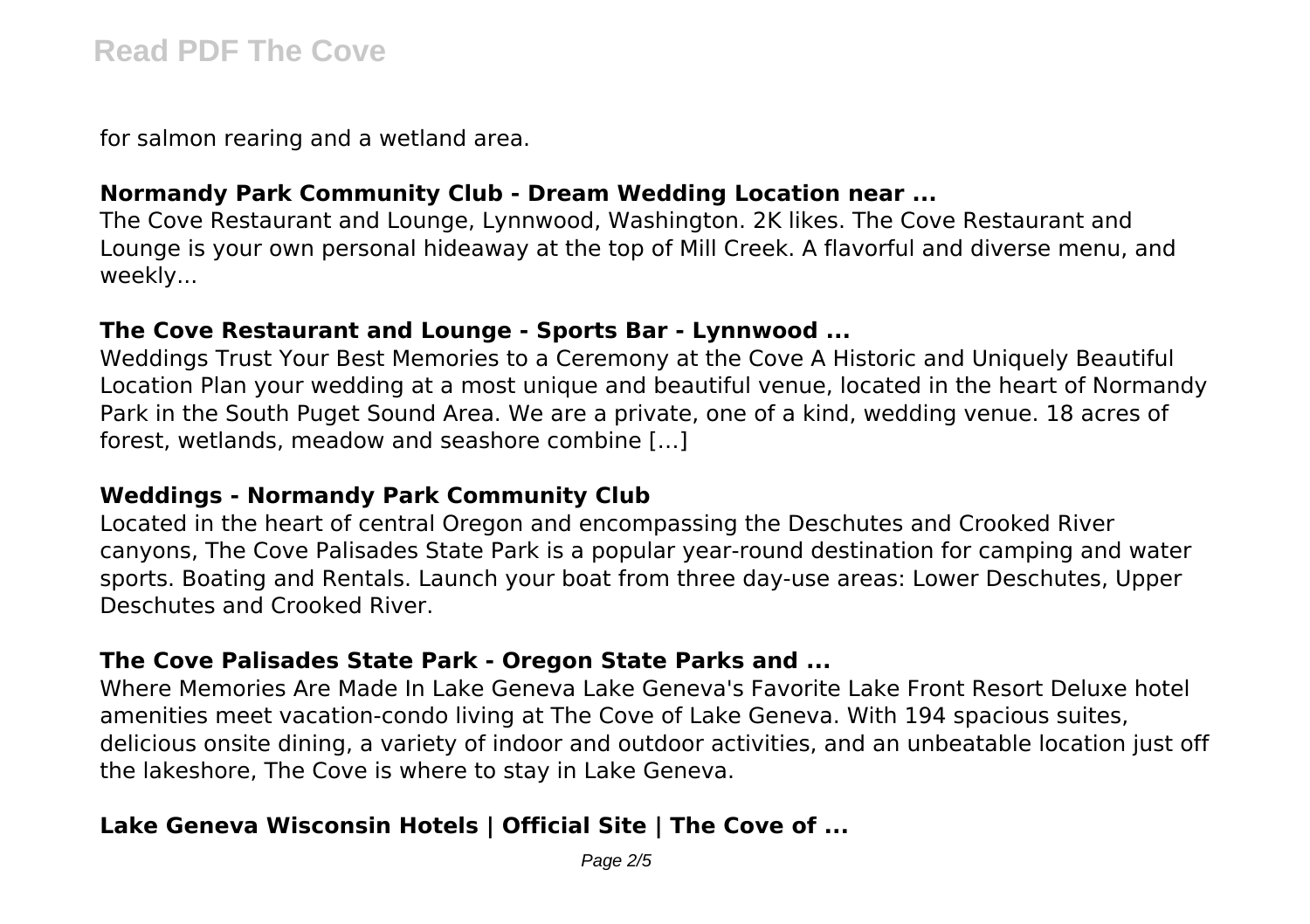for salmon rearing and a wetland area.

## **Normandy Park Community Club - Dream Wedding Location near ...**

The Cove Restaurant and Lounge, Lynnwood, Washington. 2K likes. The Cove Restaurant and Lounge is your own personal hideaway at the top of Mill Creek. A flavorful and diverse menu, and weekly...

#### **The Cove Restaurant and Lounge - Sports Bar - Lynnwood ...**

Weddings Trust Your Best Memories to a Ceremony at the Cove A Historic and Uniquely Beautiful Location Plan your wedding at a most unique and beautiful venue, located in the heart of Normandy Park in the South Puget Sound Area. We are a private, one of a kind, wedding venue. 18 acres of forest, wetlands, meadow and seashore combine […]

## **Weddings - Normandy Park Community Club**

Located in the heart of central Oregon and encompassing the Deschutes and Crooked River canyons, The Cove Palisades State Park is a popular year-round destination for camping and water sports. Boating and Rentals. Launch your boat from three day-use areas: Lower Deschutes, Upper Deschutes and Crooked River.

#### **The Cove Palisades State Park - Oregon State Parks and ...**

Where Memories Are Made In Lake Geneva Lake Geneva's Favorite Lake Front Resort Deluxe hotel amenities meet vacation-condo living at The Cove of Lake Geneva. With 194 spacious suites, delicious onsite dining, a variety of indoor and outdoor activities, and an unbeatable location just off the lakeshore, The Cove is where to stay in Lake Geneva.

# **Lake Geneva Wisconsin Hotels | Official Site | The Cove of ...**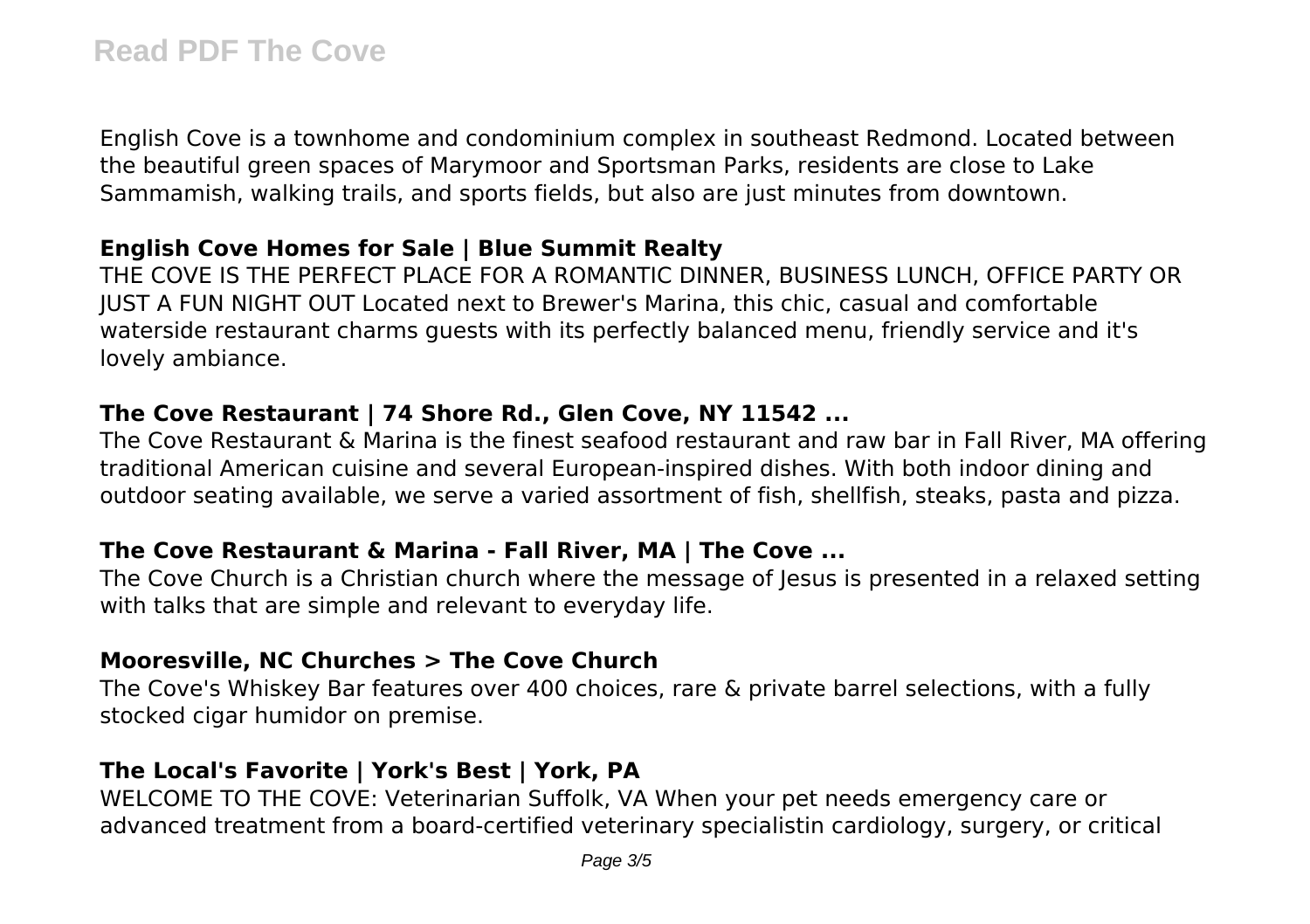English Cove is a townhome and condominium complex in southeast Redmond. Located between the beautiful green spaces of Marymoor and Sportsman Parks, residents are close to Lake Sammamish, walking trails, and sports fields, but also are just minutes from downtown.

## **English Cove Homes for Sale | Blue Summit Realty**

THE COVE IS THE PERFECT PLACE FOR A ROMANTIC DINNER, BUSINESS LUNCH, OFFICE PARTY OR JUST A FUN NIGHT OUT Located next to Brewer's Marina, this chic, casual and comfortable waterside restaurant charms guests with its perfectly balanced menu, friendly service and it's lovely ambiance.

## **The Cove Restaurant | 74 Shore Rd., Glen Cove, NY 11542 ...**

The Cove Restaurant & Marina is the finest seafood restaurant and raw bar in Fall River, MA offering traditional American cuisine and several European-inspired dishes. With both indoor dining and outdoor seating available, we serve a varied assortment of fish, shellfish, steaks, pasta and pizza.

## **The Cove Restaurant & Marina - Fall River, MA | The Cove ...**

The Cove Church is a Christian church where the message of Jesus is presented in a relaxed setting with talks that are simple and relevant to everyday life.

## **Mooresville, NC Churches > The Cove Church**

The Cove's Whiskey Bar features over 400 choices, rare & private barrel selections, with a fully stocked cigar humidor on premise.

# **The Local's Favorite | York's Best | York, PA**

WELCOME TO THE COVE: Veterinarian Suffolk, VA When your pet needs emergency care or advanced treatment from a board-certified veterinary specialistin cardiology, surgery, or critical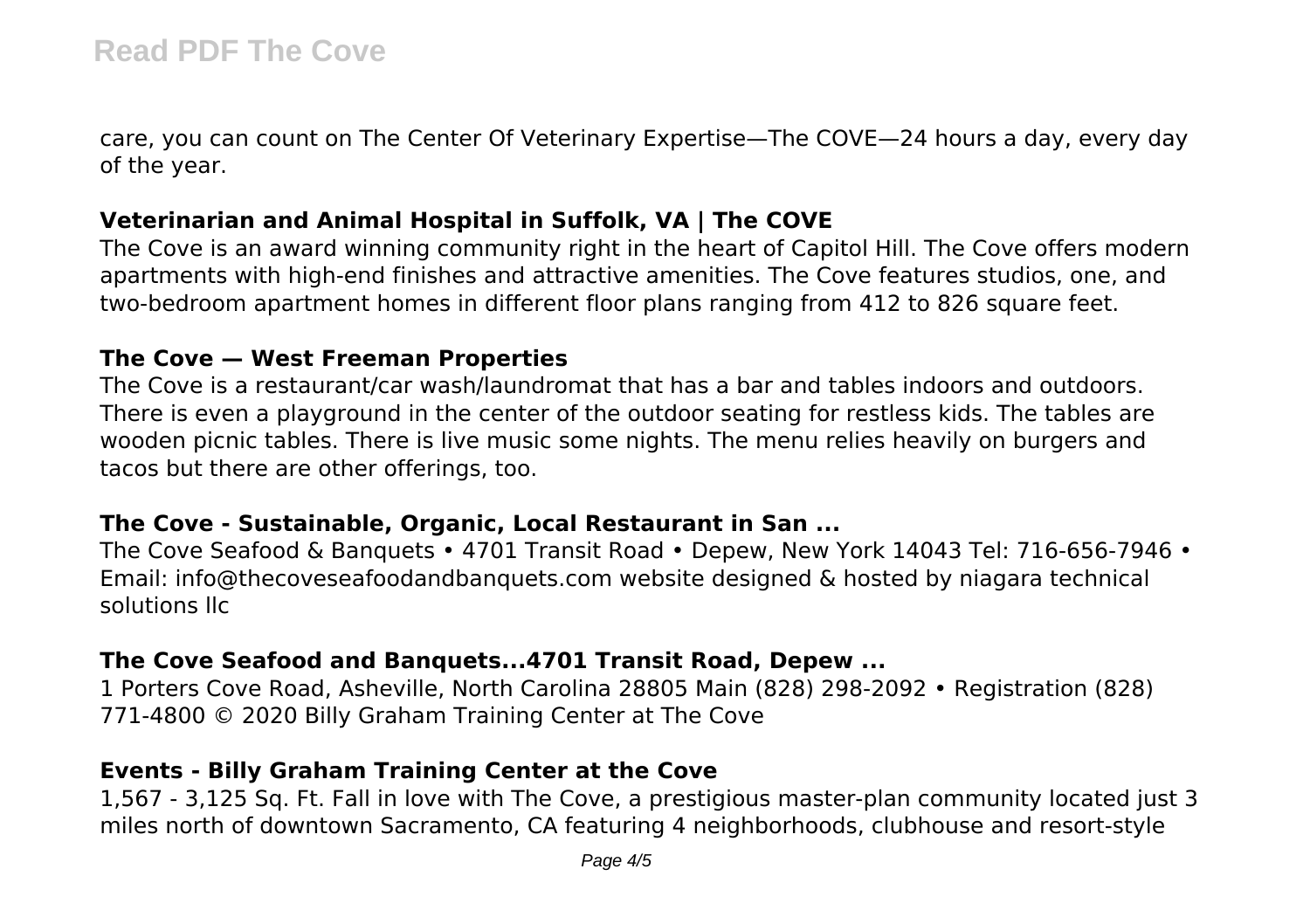care, you can count on The Center Of Veterinary Expertise—The COVE—24 hours a day, every day of the year.

# **Veterinarian and Animal Hospital in Suffolk, VA | The COVE**

The Cove is an award winning community right in the heart of Capitol Hill. The Cove offers modern apartments with high-end finishes and attractive amenities. The Cove features studios, one, and two-bedroom apartment homes in different floor plans ranging from 412 to 826 square feet.

#### **The Cove — West Freeman Properties**

The Cove is a restaurant/car wash/laundromat that has a bar and tables indoors and outdoors. There is even a playground in the center of the outdoor seating for restless kids. The tables are wooden picnic tables. There is live music some nights. The menu relies heavily on burgers and tacos but there are other offerings, too.

#### **The Cove - Sustainable, Organic, Local Restaurant in San ...**

The Cove Seafood & Banquets • 4701 Transit Road • Depew, New York 14043 Tel: 716-656-7946 • Email: info@thecoveseafoodandbanquets.com website designed & hosted by niagara technical solutions llc

## **The Cove Seafood and Banquets...4701 Transit Road, Depew ...**

1 Porters Cove Road, Asheville, North Carolina 28805 Main (828) 298-2092 • Registration (828) 771-4800 © 2020 Billy Graham Training Center at The Cove

# **Events - Billy Graham Training Center at the Cove**

1,567 - 3,125 Sq. Ft. Fall in love with The Cove, a prestigious master-plan community located just 3 miles north of downtown Sacramento, CA featuring 4 neighborhoods, clubhouse and resort-style